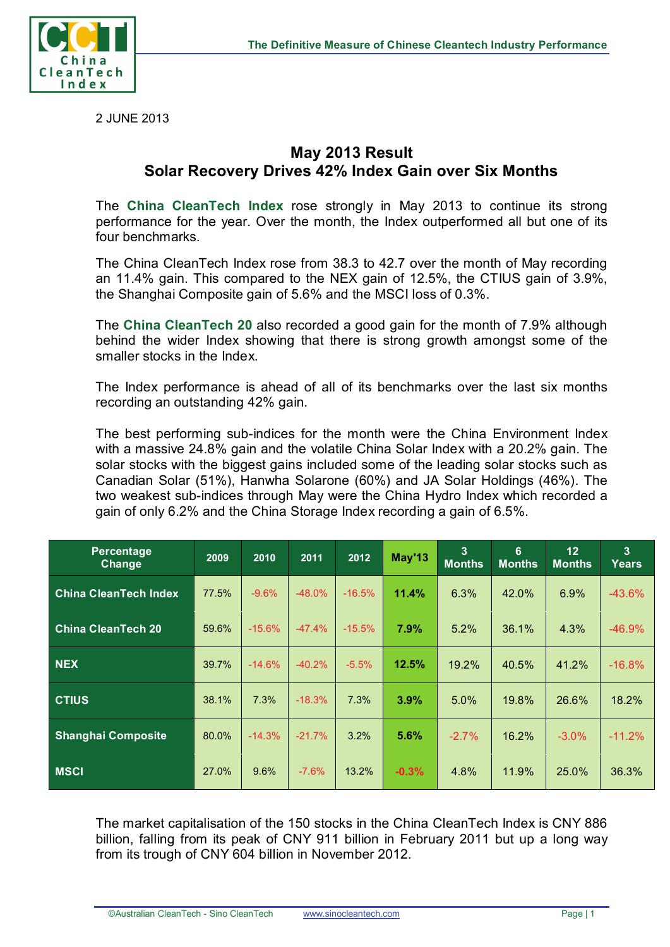

2 JUNE 2013

## **May 2013 Result Solar Recovery Drives 42% Index Gain over Six Months**

The **China CleanTech Index** rose strongly in May 2013 to continue its strong performance for the year. Over the month, the Index outperformed all but one of its four benchmarks.

The China CleanTech Index rose from 38.3 to 42.7 over the month of May recording an 11.4% gain. This compared to the NEX gain of 12.5%, the CTIUS gain of 3.9%, the Shanghai Composite gain of 5.6% and the MSCI loss of 0.3%.

The **China CleanTech 20** also recorded a good gain for the month of 7.9% although behind the wider Index showing that there is strong growth amongst some of the smaller stocks in the Index.

The Index performance is ahead of all of its benchmarks over the last six months recording an outstanding 42% gain.

The best performing sub-indices for the month were the China Environment Index with a massive 24.8% gain and the volatile China Solar Index with a 20.2% gain. The solar stocks with the biggest gains included some of the leading solar stocks such as Canadian Solar (51%), Hanwha Solarone (60%) and JA Solar Holdings (46%). The two weakest sub-indices through May were the China Hydro Index which recorded a gain of only 6.2% and the China Storage Index recording a gain of 6.5%.

| <b>Percentage</b><br>Change  | 2009  | 2010     | 2011     | 2012     | May'13  | $\overline{3}$<br><b>Months</b> | 6<br><b>Months</b> | 12<br><b>Months</b> | $\overline{3}$<br>Years |
|------------------------------|-------|----------|----------|----------|---------|---------------------------------|--------------------|---------------------|-------------------------|
| <b>China CleanTech Index</b> | 77.5% | $-9.6%$  | $-48.0%$ | $-16.5%$ | 11.4%   | 6.3%                            | 42.0%              | 6.9%                | $-43.6\%$               |
| <b>China CleanTech 20</b>    | 59.6% | $-15.6%$ | $-47.4%$ | $-15.5%$ | 7.9%    | 5.2%                            | 36.1%              | 4.3%                | $-46.9%$                |
| <b>NEX</b>                   | 39.7% | $-14.6%$ | $-40.2%$ | $-5.5%$  | 12.5%   | 19.2%                           | 40.5%              | 41.2%               | $-16.8%$                |
| <b>CTIUS</b>                 | 38.1% | 7.3%     | $-18.3%$ | 7.3%     | 3.9%    | 5.0%                            | 19.8%              | 26.6%               | 18.2%                   |
| <b>Shanghai Composite</b>    | 80.0% | $-14.3%$ | $-21.7%$ | 3.2%     | 5.6%    | $-2.7%$                         | 16.2%              | $-3.0\%$            | $-11.2%$                |
| <b>MSCI</b>                  | 27.0% | 9.6%     | $-7.6%$  | 13.2%    | $-0.3%$ | 4.8%                            | 11.9%              | 25.0%               | 36.3%                   |

The market capitalisation of the 150 stocks in the China CleanTech Index is CNY 886 billion, falling from its peak of CNY 911 billion in February 2011 but up a long way from its trough of CNY 604 billion in November 2012.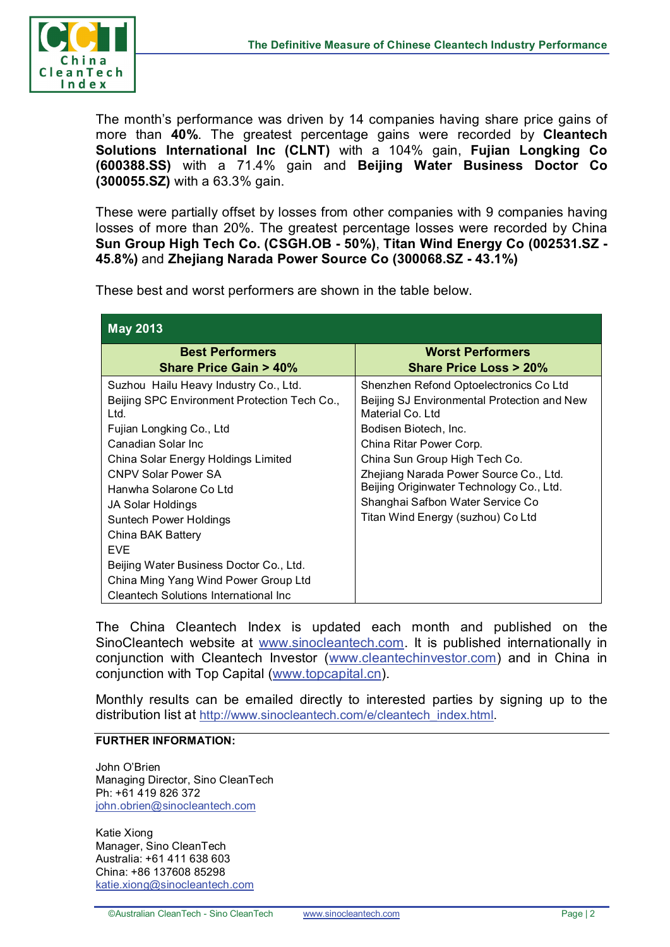

The month's performance was driven by 14 companies having share price gains of more than **40%**. The greatest percentage gains were recorded by **Cleantech Solutions International Inc (CLNT)** with a 104% gain, **Fujian Longking Co (600388.SS)** with a 71.4% gain and **Beijing Water Business Doctor Co (300055.SZ)** with a 63.3% gain.

These were partially offset by losses from other companies with 9 companies having losses of more than 20%. The greatest percentage losses were recorded by China **Sun Group High Tech Co. (CSGH.OB - 50%)**, **Titan Wind Energy Co (002531.SZ - 45.8%)** and **Zhejiang Narada Power Source Co (300068.SZ - 43.1%)**

These best and worst performers are shown in the table below.

| <b>May 2013</b>                                                                                                                                                                                                                                                                                                                                                                                                                                                |                                                                                                                                                                                                                                                                                                                                                                |  |  |  |  |  |
|----------------------------------------------------------------------------------------------------------------------------------------------------------------------------------------------------------------------------------------------------------------------------------------------------------------------------------------------------------------------------------------------------------------------------------------------------------------|----------------------------------------------------------------------------------------------------------------------------------------------------------------------------------------------------------------------------------------------------------------------------------------------------------------------------------------------------------------|--|--|--|--|--|
| <b>Best Performers</b><br><b>Share Price Gain &gt; 40%</b>                                                                                                                                                                                                                                                                                                                                                                                                     | <b>Worst Performers</b><br>Share Price Loss > 20%                                                                                                                                                                                                                                                                                                              |  |  |  |  |  |
| Suzhou Hailu Heavy Industry Co., Ltd.<br>Beijing SPC Environment Protection Tech Co.,<br>Ltd.<br>Fujian Longking Co., Ltd<br>Canadian Solar Inc.<br>China Solar Energy Holdings Limited<br><b>CNPV Solar Power SA</b><br>Hanwha Solarone Co Ltd<br>JA Solar Holdings<br>Suntech Power Holdings<br>China BAK Battery<br><b>FVF</b><br>Beijing Water Business Doctor Co., Ltd.<br>China Ming Yang Wind Power Group Ltd<br>Cleantech Solutions International Inc. | Shenzhen Refond Optoelectronics Co Ltd<br>Beijing SJ Environmental Protection and New<br>Material Co. Ltd.<br>Bodisen Biotech, Inc.<br>China Ritar Power Corp.<br>China Sun Group High Tech Co.<br>Zhejiang Narada Power Source Co., Ltd.<br>Beijing Originwater Technology Co., Ltd.<br>Shanghai Safbon Water Service Co<br>Titan Wind Energy (suzhou) Co Ltd |  |  |  |  |  |

The China Cleantech Index is updated each month and published on the SinoCleantech website at [www.sinocleantech.com.](http://www.sinocleantech.com/) It is published internationally in conjunction with Cleantech Investor [\(www.cleantechinvestor.com\)](http://www.cleantechinvestor.com/) and in China in conjunction with Top Capital [\(www.topcapital.cn\)](http://www.topcapital.cn/).

Monthly results can be emailed directly to interested parties by signing up to the distribution list at [http://www.sinocleantech.com/e/cleantech\\_index.html.](http://www.sinocleantech.com/e/cleantech_index.html)

## **FURTHER INFORMATION:**

John O'Brien Managing Director, Sino CleanTech Ph: +61 419 826 372 [john.obrien@sinocleantech.com](mailto:john.obrien@sinocleantech.com)

Katie Xiong Manager, Sino CleanTech Australia: +61 411 638 603 China: +86 137608 85298 [katie.xiong@sinocleantech.com](mailto:katie.xiong@sinocleantech.com)